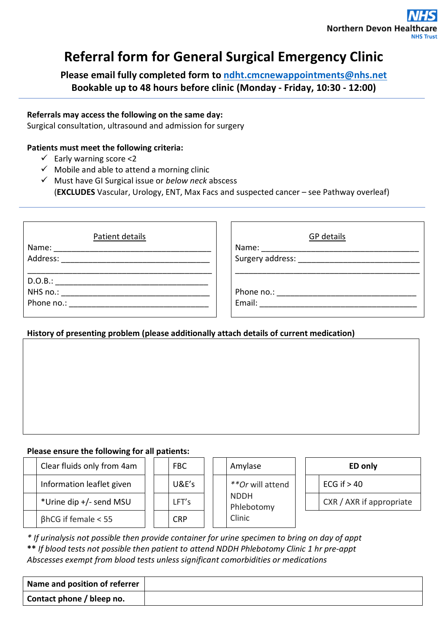## **Referral form for General Surgical Emergency Clinic**

**Please email fully completed form to [ndht.cmcnewappointments@nhs.net](mailto:ndht.cmcnewappointments@nhs.net) Bookable up to 48 hours before clinic (Monday - Friday, 10:30 - 12:00)** 

#### **Referrals may access the following on the same day:**

Surgical consultation, ultrasound and admission for surgery

#### **Patients must meet the following criteria:**

- $\checkmark$  Early warning score <2
- $\checkmark$  Mobile and able to attend a morning clinic
- Must have GI Surgical issue or *below neck* abscess (**EXCLUDES** Vascular, Urology, ENT, Max Facs and suspected cancer – see Pathway overleaf)

| Patient details                                                                                                                                                                                                                | GP details                                |
|--------------------------------------------------------------------------------------------------------------------------------------------------------------------------------------------------------------------------------|-------------------------------------------|
| Name: ______________________                                                                                                                                                                                                   | Name: ______________________              |
|                                                                                                                                                                                                                                | Surgery address: ________________________ |
|                                                                                                                                                                                                                                |                                           |
| D.O.B.:                                                                                                                                                                                                                        |                                           |
| NHS no.: ____________                                                                                                                                                                                                          | Phone no.: __________________             |
| Phone no.: The contract of the contract of the contract of the contract of the contract of the contract of the contract of the contract of the contract of the contract of the contract of the contract of the contract of the |                                           |
|                                                                                                                                                                                                                                |                                           |

#### **History of presenting problem (please additionally attach details of current medication)**

#### **Please ensure the following for all patients:**

| Clear fluids only from 4am | FBC        | Amylase                   | ED only                  |
|----------------------------|------------|---------------------------|--------------------------|
| Information leaflet given  | U&E's      | **Or will attend          | ECG if $> 40$            |
| *Urine dip +/- send MSU    | LFT's      | <b>NDDH</b><br>Phlebotomy | CXR / AXR if appropriate |
| $\beta$ hCG if female < 55 | <b>CRP</b> | Clinic                    |                          |

*\* If urinalysis not possible then provide container for urine specimen to bring on day of appt*  **\*\*** *If blood tests not possible then patient to attend NDDH Phlebotomy Clinic 1 hr pre-appt Abscesses exempt from blood tests unless significant comorbidities or medications* 

| Name and position of referrer |  |
|-------------------------------|--|
| Contact phone / bleep no.     |  |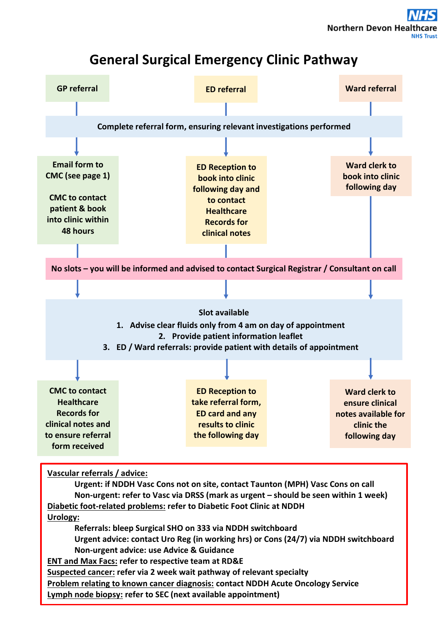## **General Surgical Emergency Clinic Pathway**

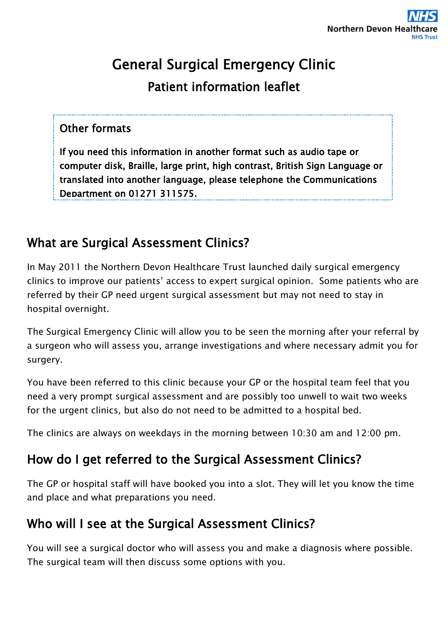# General Surgical Emergency Clinic Patient information leaflet

#### Other formats

If you need this information in another format such as audio tape or computer disk, Braille, large print, high contrast, British Sign Language or translated into another language, please telephone the Communications Department on 01271 311575.

## What are Surgical Assessment Clinics?

In May 2011 the Northern Devon Healthcare Trust launched daily surgical emergency clinics to improve our patients' access to expert surgical opinion. Some patients who are referred by their GP need urgent surgical assessment but may not need to stay in hospital overnight.

The Surgical Emergency Clinic will allow you to be seen the morning after your referral by a surgeon who will assess you, arrange investigations and where necessary admit you for surgery.

You have been referred to this clinic because your GP or the hospital team feel that you need a very prompt surgical assessment and are possibly too unwell to wait two weeks for the urgent clinics, but also do not need to be admitted to a hospital bed.

The clinics are always on weekdays in the morning between 10:30 am and 12:00 pm.

## How do I get referred to the Surgical Assessment Clinics?

The GP or hospital staff will have booked you into a slot. They will let you know the time and place and what preparations you need.

## Who will I see at the Surgical Assessment Clinics?

You will see a surgical doctor who will assess you and make a diagnosis where possible. The surgical team will then discuss some options with you.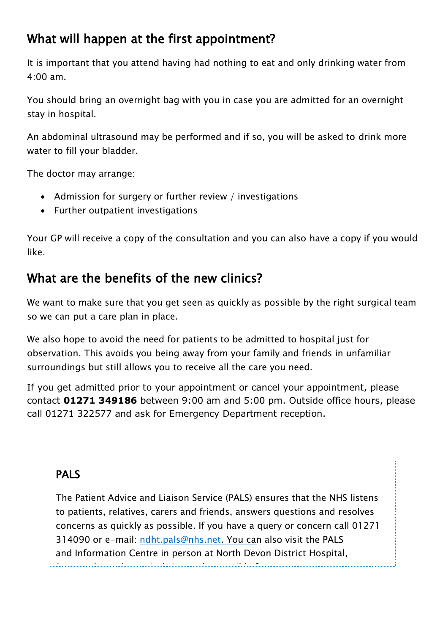## What will happen at the first appointment?

It is important that you attend having had nothing to eat and only drinking water from 4:00 am.

You should bring an overnight bag with you in case you are admitted for an overnight stay in hospital.

An abdominal ultrasound may be performed and if so, you will be asked to drink more water to fill your bladder.

The doctor may arrange:

- Admission for surgery or further review / investigations
- Further outpatient investigations

Your GP will receive a copy of the consultation and you can also have a copy if you would like.

### What are the benefits of the new clinics?

We want to make sure that you get seen as quickly as possible by the right surgical team so we can put a care plan in place.

We also hope to avoid the need for patients to be admitted to hospital just for observation. This avoids you being away from your family and friends in unfamiliar surroundings but still allows you to receive all the care you need.

If you get admitted prior to your appointment or cancel your appointment, please contact **01271 349186** between 9:00 am and 5:00 pm. Outside office hours, please call 01271 322577 and ask for Emergency Department reception.

#### PALS

The Patient Advice and Liaison Service (PALS) ensures that the NHS listens to patients, relatives, carers and friends, answers questions and resolves concerns as quickly as possible. If you have a query or concern call 01271 314090 or e-mail: ndht.p[als@nhs.](mailto:pals@ndevon.swest.nhs.uk)net. You can also visit the PALS and Information Centre in person at North Devon District Hospital,

Barnstaple or alternatively it may be possible for us to arrange an